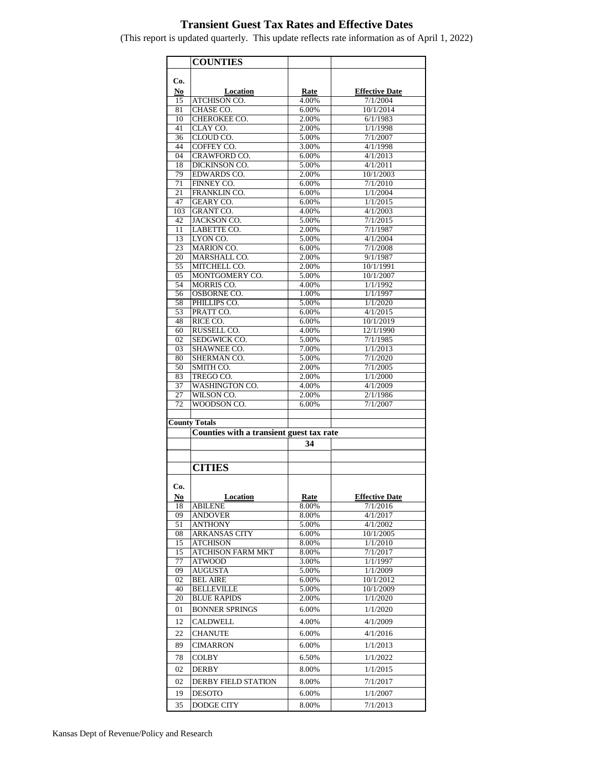## **Transient Guest Tax Rates and Effective Dates**

**COUNTIES Co. No Location Rate Effective Date**<br> **15** ATCHISON CO. 4.00% 7/1/2004 15 ATCHISON CO. 1.00% 7/1/2004<br>CHASE CO. 6.00% 10/1/2014 81 CHASE CO. 6.00% 10/1/2014 10 CHEROKEE CO. 2.00% 6/1/1983<br>41 CLAY CO. 2.00% 1/1/1998 41 CLAY CO. 2.00% 1/1/1998 36 CLOUD CO. 6.00% 7/1/2007 44 COFFEY CO. 3.00% 4/1/1998 04 CRAWFORD CO. 6.00% 4/1/2013 18 DICKINSON CO. 5.00% 4/1/2011 79 EDWARDS CO. 2.00% 10/1/2003 71 FINNEY CO. 6.00% 7/1/2010 21 FRANKLIN CO. 6.00% 1/1/2004 47 GEARY CO. 6.00% 1/1/2015 103 GRANT CO. 14.00% 4/1/2003 42 JACKSON CO. 5.00% 7/1/2015 11 LABETTE CO. 2.00% 7/1/1987<br>13 LYON CO. 5.00% 4/1/2004 13 LYON CO. 23 MARION CO. 6.00% 7/1/2008<br>20 MARSHALL CO. 2.00% 9/1/1987 MARSHALL CO. 2.00% 9/1/1987<br>MITCHELL CO. 2.00% 10/1/1991 55 MITCHELL CO. 2.00%<br>05 MONTGOMERY CO. 5.00% 05 MONTGOMERY CO. 5.00% 10/1/2007<br>54 MORRIS CO. 4.00% 1/1/1992 54 MORRIS CO. 4.00% 56 OSBORNE CO. 1.00% 1/1/1997<br>58 PHILLIPS CO. 5.00% 1/1/2020 PHILLIPS CO. 5.00% 1/1/2020 53 PRATT CO. 6.00% 4/1/2015 48 RICE CO. 6.00% 10/1/2019<br>60 RUSSELL CO. 4.00% 12/1/1990 60 RUSSELL CO. 4.00% 02 SEDGWICK CO. 65.00% 7/1/1985 03 SHAWNEE CO. 200% 1/1/2013 80 SHERMAN CO. 5.00% 7/1/2020<br>50 SMITH CO. 2.00% 7/1/2005 50 SMITH CO. 83 TREGO CO. 2.00% 1/1/2000 37 WASHINGTON CO. 4.00% 4/1/2009<br>27 WILSON CO. 2.00% 2/1/1986 27 WILSON CO. 72 WOODSON CO. 6.00% 7/1/2007 **County Totals Counties with a transient guest tax rate 34** .............. **CITIES Co. No Location Rate Effective Date** 18 ABILENE 8.00% 7/1/2016 09 ANDOVER 8.00% 4/1/2017 51 ANTHONY 5.00% 4/1/2002 08 ARKANSAS CITY 6.00% 10/1/2005<br>15 ATCHISON 8.00% 1/1/2010 15 ATCHISON 8.00% 15 ATCHISON FARM MKT 8.00% 7/1/2017<br>
77 ATWOOD 3.00% 1/1/1997  $ATWOOD$ 09 AUGUSTA 5.00% 1/1/2009 02 BEL AIRE 6.00% 10/1/2012 40 BELLEVILLE 5.00% 10/1/2009 20 BLUE RAPIDS 2.00% 1/1/2020 01 BONNER SPRINGS 6.00% 1/1/2020 12 CALDWELL 4.00% 4/1/2009 22 CHANUTE 6.00% 4/1/2016 89 CIMARRON 6.00% 1/1/2013 78 COLBY 6.50% 1/1/2022 02 DERBY 8.00% 1/1/2015 02 DERBY FIELD STATION 8.00% 7/1/2017 19 DESOTO 6.00% 1/1/2007

35 DODGE CITY 8.00% 7/1/2013

(This report is updated quarterly. This update reflects rate information as of April 1, 2022)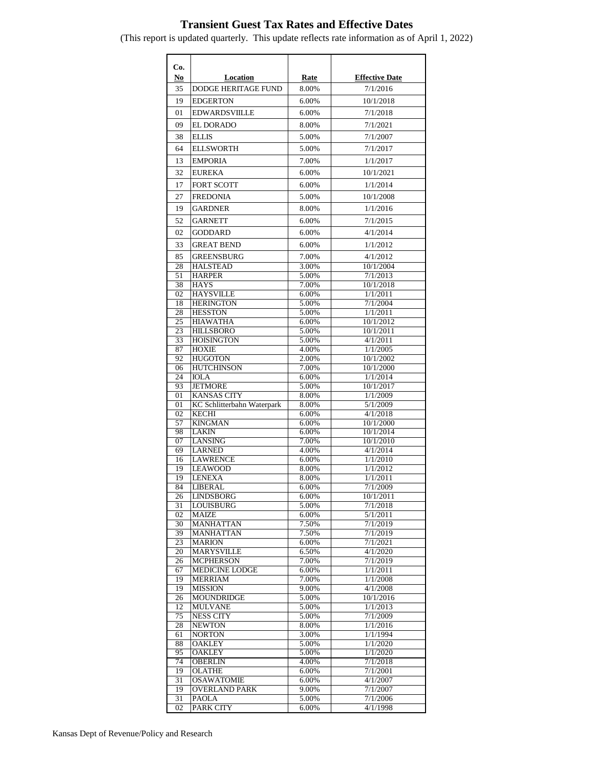## **Transient Guest Tax Rates and Effective Dates**

**Co. No Location Rate Effective Date** 35 DODGE HERITAGE FUND | 8.00% | 7/1/2016 19 EDGERTON 6.00% 10/1/2018 01 EDWARDSVIILLE 6.00% 7/1/2018 09 EL DORADO 8.00% 7/1/2021 38 ELLIS 5.00% 7/1/2007 64 ELLSWORTH 5.00% 7/1/2017 13 EMPORIA 7.00% 1/1/2017 32 EUREKA 6.00% 10/1/2021 17 **FORT SCOTT** 6.00% 1/1/2014 27 FREDONIA 5.00% 10/1/2008 19 GARDNER 8.00% 1/1/2016 52 GARNETT 6.00% 7/1/2015 02 GODDARD 6.00% 4/1/2014 33 GREAT BEND 6.00% 1/1/2012 85 GREENSBURG 7.00% 4/1/2012 28 HALSTEAD 3.00% 10/1/2004 51 HARPER 5.00% 7/1/2013<br>38 HAYS 7.00% 10/1/2018 38 HAYS 7.00% 10/1/2018 02 HAYSVILLE 6.00% 1/1/2011 18 HERINGTON 18 5.00% 7/1/2004 28 HESSTON 5.00% 1/1/2011 25 HIAWATHA 6.00% 10/1/2012<br>23 HILLSBORO 5.00% 10/1/2011 **HILLSBORO** 33 HOISINGTON 5.00% 4/1/2011 87 HOXIE 4.00% 1/1/2005 92 HUGOTON 2.00% 10/1/2002 06 HUTCHINSON 7.00% 10/1/2000 24 **IOLA** 6.00% 1/1/2014 93 JETMORE 5.00% 10/1/2017<br>01 KANSAS CITY 8.00% 1/1/2009 KANSAS CITY 8.00% 1/1/2009 01 KC Schlitterbahn Waterpark 8.00% 5/1/2009 02 KECHI 6.00% 4/1/2018 57 KINGMAN 6.00% 10/1/2000 98 LAKIN 6.00% 10/1/2014 07 LANSING 7.00% 10/1/2010 69 LARNED 4.00% 4/1/2014 16 LAWRENCE 6.00% 1/1/2010<br>19 LEAWOOD 8.00% 1/1/2012 19 LEAWOOD 8.00% 19 LENEXA 8.00% 1/1/2011 84 LIBERAL 6.00% 7/1/2009 26 LINDSBORG 6.00% 10/1/2011 31 LOUISBURG 5.00% 7/1/2018 02 MAIZE 6.00% 5/1/2011 30 MANHATTAN 7.50% 7/1/2019<br>39 MANHATTAN 7.50% 7/1/2019 MANHATTAN 23 MARION 6.00% 7/1/2021<br>20 MARYSVILLE 6.50% 4/1/2020 MARYSVILLE 6.50% 4/1/2020<br>
MCPHERSON 7.00% 7/1/2019 26 | MCPHERSON 7.00% 67 MEDICINE LODGE 6.00% 1/1/2011 19 MERRIAM 7.00% 1/1/2008 19 MISSION 9.00% 4/1/2008<br>
26 MOUNDRIDGE 5.00% 10/1/2016 26 MOUNDRIDGE 5.00% 10/1/2016<br>12 MULVANE 5.00% 1/1/2013 12 MULVANE 5.00% 1/1/2013 75 NESS CITY 5.00% 7/1/2009 28 NEWTON 8.00% 1/1/2016 61 NORTON 3.00% 1/1/1994<br>88 OAKLEY 5.00% 1/1/2020 88 OAKLEY 5.00% 1/1/2020 95 OAKLEY 5.00% 1/1/2020 74 OBERLIN 4.00% 7/1/2018 19 OLATHE 6.00% 7/1/2001 31 OSAWATOMIE 6.00% 4/1/2007<br>19 OVERLAND PARK 9.00% 7/1/2007 19 OVERLAND PARK 31 PAOLA 5.00% 7/1/2006

02 PARK CITY 6.00% 4/1/1998

(This report is updated quarterly. This update reflects rate information as of April 1, 2022)